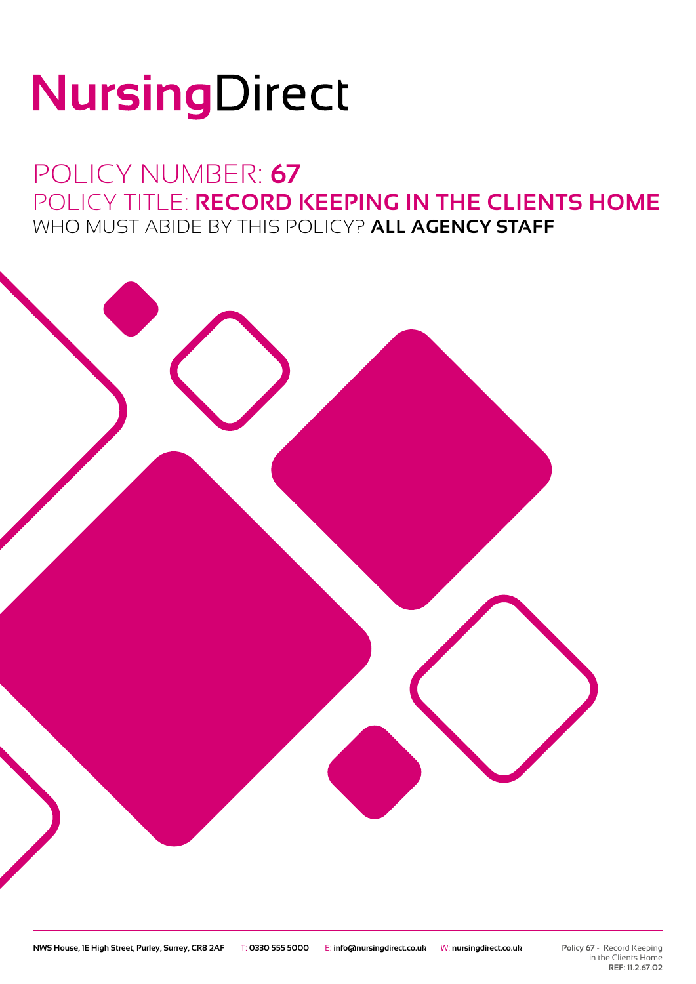# NursingDirect

## POLICY NUMBER: **67** POLICY TITLE: **RECORD KEEPING IN THE CLIENTS HOME** WHO MUST ABIDE BY THIS POLICY? **ALL AGENCY STAFF**